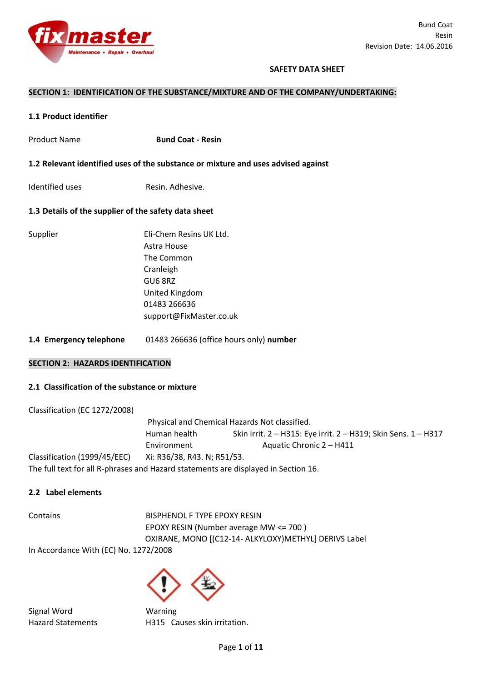

## **SAFETY DATA SHEET**

**uses advised against** 

#### **SECTION 1: IDENTIFICATION OF THE SUBSTANCE/MIXTURE AND OF THE COMPANY/UNDERTAKING:**

#### **1.1 Product identifier**

| <b>Product Name</b>                                          | <b>Bund Coat - Resin</b>                                                                                                                  |
|--------------------------------------------------------------|-------------------------------------------------------------------------------------------------------------------------------------------|
| 1.2 Relevant identified uses of the substance or mixture and |                                                                                                                                           |
| Identified uses                                              | Resin, Adhesive.                                                                                                                          |
| 1.3 Details of the supplier of the safety data sheet         |                                                                                                                                           |
| Supplier                                                     | Eli-Chem Resins UK Ltd.<br>Astra House<br>The Common<br>Cranleigh<br>GU6 8RZ<br>United Kingdom<br>01483 266636<br>support@FixMaster.co.uk |

**1.4 Emergency telephone** 01483 266636 (office hours only) **number** 

### **SECTION 2: HAZARDS IDENTIFICATION**

#### **2.1 Classification of the substance or mixture**

Classification (EC 1272/2008) Physical and Chemical Hazards Not classified. Human health Skin irrit. 2 – H315: Eye irrit. 2 – H319; Skin Sens. 1 – H317 Environment Aquatic Chronic 2 – H411 Classification (1999/45/EEC) Xi: R36/38, R43. N; R51/53. The full text for all R-phrases and Hazard statements are displayed in Section 16.

#### **2.2 Label elements**

Contains **BISPHENOL F TYPE EPOXY RESIN** EPOXY RESIN (Number average MW <= 700 ) OXIRANE, MONO [(C12-14- ALKYLOXY)METHYL] DERIVS Label

In Accordance With (EC) No. 1272/2008

Signal Word Warning Hazard Statements H315 Causes skin irritation.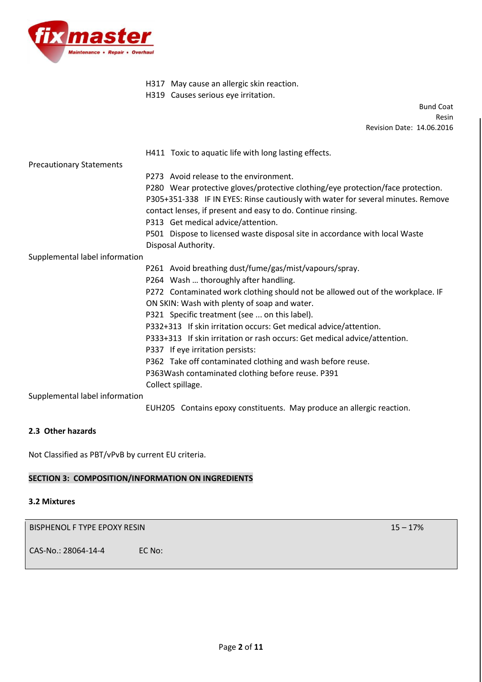

- H317 May cause an allergic skin reaction.
- H319 Causes serious eye irritation.

Bund Coat Resin Revision Date: 14.06.2016

# H411 Toxic to aquatic life with long lasting effects.

Precautionary Statements

P273 Avoid release to the environment.

- P280 Wear protective gloves/protective clothing/eye protection/face protection. P305+351-338 IF IN EYES: Rinse cautiously with water for several minutes. Remove contact lenses, if present and easy to do. Continue rinsing.
- P313 Get medical advice/attention.
- P501 Dispose to licensed waste disposal site in accordance with local Waste Disposal Authority.

Supplemental label information

- P261 Avoid breathing dust/fume/gas/mist/vapours/spray.
- P264 Wash … thoroughly after handling.
- P272 Contaminated work clothing should not be allowed out of the workplace. IF ON SKIN: Wash with plenty of soap and water.
- P321 Specific treatment (see ... on this label).
- P332+313 If skin irritation occurs: Get medical advice/attention.
- P333+313 If skin irritation or rash occurs: Get medical advice/attention.
- P337 If eye irritation persists:
- P362 Take off contaminated clothing and wash before reuse.
- P363Wash contaminated clothing before reuse. P391

Collect spillage.

Supplemental label information

EUH205 Contains epoxy constituents. May produce an allergic reaction.

# **2.3 Other hazards**

Not Classified as PBT/vPvB by current EU criteria.

# **SECTION 3: COMPOSITION/INFORMATION ON INGREDIENTS**

## **3.2 Mixtures**

BISPHENOL F TYPE EPOXY RESIN 15 – 17% and the state of the state of the state of the state of the state of the state of the state of the state of the state of the state of the state of the state of the state of the state o

CAS-No.: 28064-14-4 EC No: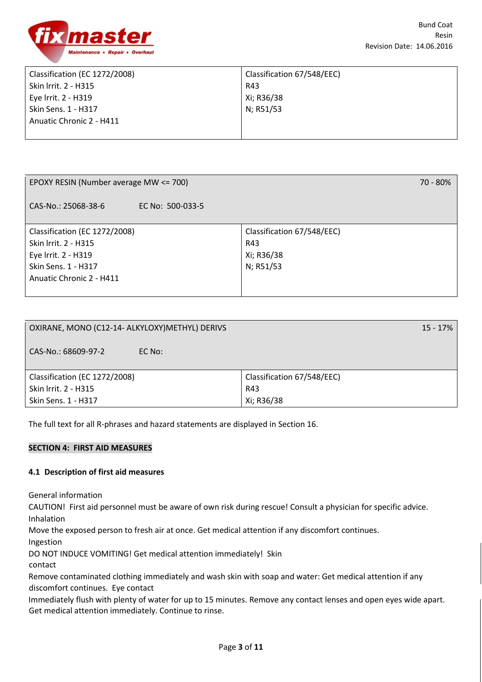

| Classification (EC 1272/2008) | Classification 67/548/EEC) |
|-------------------------------|----------------------------|
| Skin Irrit. 2 - H315          | R43                        |
| Eye Irrit. 2 - H319           | Xi; R36/38                 |
| Skin Sens. 1 - H317           | N; R51/53                  |
| Anuatic Chronic 2 - H411      |                            |
|                               |                            |

| EPOXY RESIN (Number average MW <= 700)  | 70 - 80%                   |
|-----------------------------------------|----------------------------|
| CAS-No.: 25068-38-6<br>EC No: 500-033-5 |                            |
| Classification (EC 1272/2008)           | Classification 67/548/EEC) |
| Skin Irrit. 2 - H315                    | R43                        |
| Eye Irrit. 2 - H319                     | Xi; R36/38                 |
| Skin Sens. 1 - H317                     | N; R51/53                  |
| Anuatic Chronic 2 - H411                |                            |
|                                         |                            |

| OXIRANE, MONO (C12-14- ALKYLOXY) METHYL) DERIVS | $15 - 17\%$                |
|-------------------------------------------------|----------------------------|
| CAS-No.: 68609-97-2<br>EC No:                   |                            |
| Classification (EC 1272/2008)                   | Classification 67/548/EEC) |
| Skin Irrit. 2 - H315                            | R43                        |
| Skin Sens. 1 - H317                             | Xi; R36/38                 |

The full text for all R-phrases and hazard statements are displayed in Section 16.

## **SECTION 4: FIRST AID MEASURES**

## **4.1 Description of first aid measures**

General information

CAUTION! First aid personnel must be aware of own risk during rescue! Consult a physician for specific advice. Inhalation

Move the exposed person to fresh air at once. Get medical attention if any discomfort continues.

Ingestion

DO NOT INDUCE VOMITING! Get medical attention immediately! Skin

contact

Remove contaminated clothing immediately and wash skin with soap and water: Get medical attention if any discomfort continues. Eye contact

Immediately flush with plenty of water for up to 15 minutes. Remove any contact lenses and open eyes wide apart. Get medical attention immediately. Continue to rinse.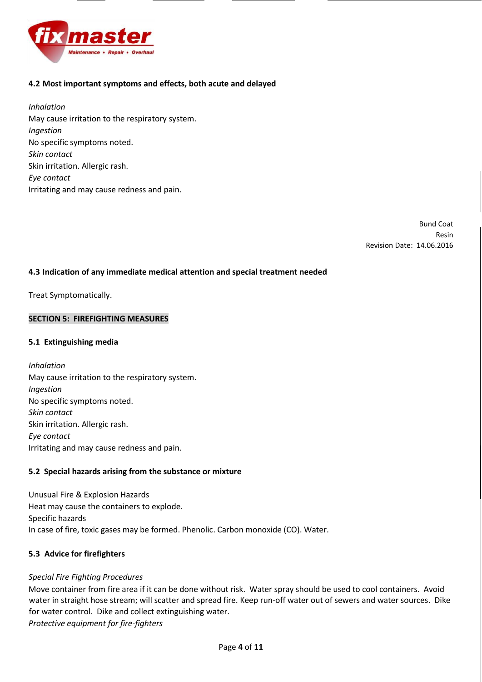

# **4.2 Most important symptoms and effects, both acute and delayed**

*Inhalation*  May cause irritation to the respiratory system. *Ingestion*  No specific symptoms noted. *Skin contact*  Skin irritation. Allergic rash. *Eye contact*  Irritating and may cause redness and pain.

> Bund Coat Resin Revision Date: 14.06.2016

## **4.3 Indication of any immediate medical attention and special treatment needed**

Treat Symptomatically.

## **SECTION 5: FIREFIGHTING MEASURES**

## **5.1 Extinguishing media**

*Inhalation*  May cause irritation to the respiratory system. *Ingestion*  No specific symptoms noted. *Skin contact*  Skin irritation. Allergic rash. *Eye contact*  Irritating and may cause redness and pain.

## **5.2 Special hazards arising from the substance or mixture**

Unusual Fire & Explosion Hazards Heat may cause the containers to explode. Specific hazards In case of fire, toxic gases may be formed. Phenolic. Carbon monoxide (CO). Water.

## **5.3 Advice for firefighters**

## *Special Fire Fighting Procedures*

Move container from fire area if it can be done without risk. Water spray should be used to cool containers. Avoid water in straight hose stream; will scatter and spread fire. Keep run-off water out of sewers and water sources. Dike for water control. Dike and collect extinguishing water. *Protective equipment for fire-fighters*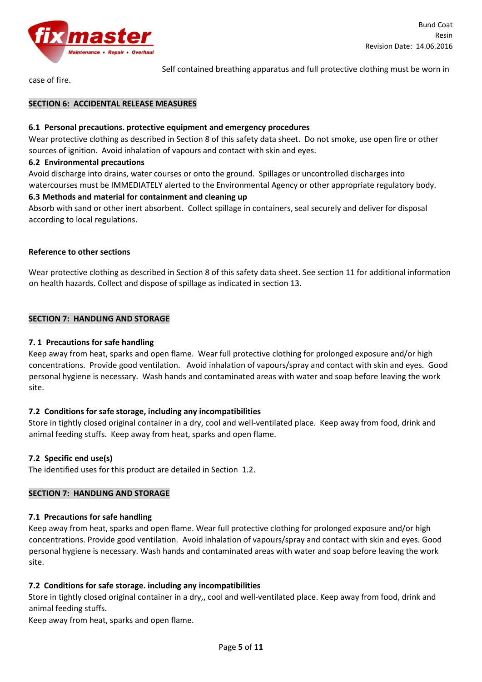

Self contained breathing apparatus and full protective clothing must be worn in

case of fire.

## **SECTION 6: ACCIDENTAL RELEASE MEASURES**

## **6.1 Personal precautions. protective equipment and emergency procedures**

Wear protective clothing as described in Section 8 of this safety data sheet. Do not smoke, use open fire or other sources of ignition. Avoid inhalation of vapours and contact with skin and eyes.

## **6.2 Environmental precautions**

Avoid discharge into drains, water courses or onto the ground. Spillages or uncontrolled discharges into watercourses must be IMMEDIATELY alerted to the Environmental Agency or other appropriate regulatory body.

## **6.3 Methods and material for containment and cleaning up**

Absorb with sand or other inert absorbent. Collect spillage in containers, seal securely and deliver for disposal according to local regulations.

## **Reference to other sections**

Wear protective clothing as described in Section 8 of this safety data sheet. See section 11 for additional information on health hazards. Collect and dispose of spillage as indicated in section 13.

## **SECTION 7: HANDLING AND STORAGE**

## **7. 1 Precautions for safe handling**

Keep away from heat, sparks and open flame. Wear full protective clothing for prolonged exposure and/or high concentrations. Provide good ventilation. Avoid inhalation of vapours/spray and contact with skin and eyes. Good personal hygiene is necessary. Wash hands and contaminated areas with water and soap before leaving the work site.

# **7.2 Conditions for safe storage, including any incompatibilities**

Store in tightly closed original container in a dry, cool and well-ventilated place. Keep away from food, drink and animal feeding stuffs. Keep away from heat, sparks and open flame.

## **7.2 Specific end use(s)**

The identified uses for this product are detailed in Section 1.2.

## **SECTION 7: HANDLING AND STORAGE**

# **7.1 Precautions for safe handling**

Keep away from heat, sparks and open flame. Wear full protective clothing for prolonged exposure and/or high concentrations. Provide good ventilation. Avoid inhalation of vapours/spray and contact with skin and eyes. Good personal hygiene is necessary. Wash hands and contaminated areas with water and soap before leaving the work site.

# **7.2 Conditions for safe storage. including any incompatibilities**

Store in tightly closed original container in a dry,, cool and well-ventilated place. Keep away from food, drink and animal feeding stuffs.

Keep away from heat, sparks and open flame.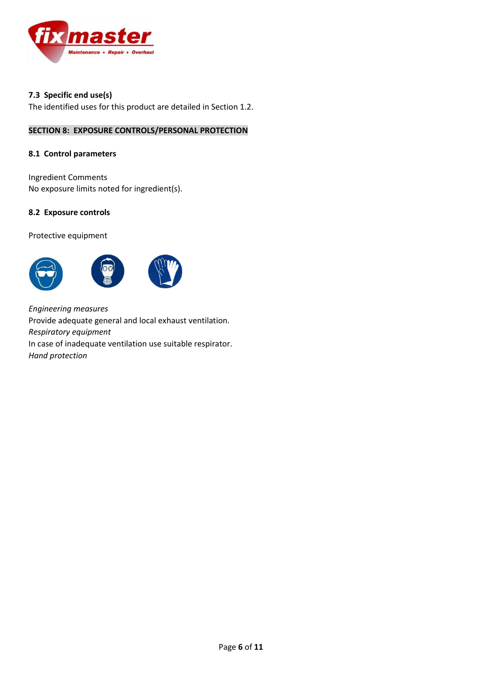

# **7.3 Specific end use(s)**

The identified uses for this product are detailed in Section 1.2.

# **SECTION 8: EXPOSURE CONTROLS/PERSONAL PROTECTION**

## **8.1 Control parameters**

Ingredient Comments No exposure limits noted for ingredient(s).

## **8.2 Exposure controls**

Protective equipment



*Engineering measures*  Provide adequate general and local exhaust ventilation. *Respiratory equipment*  In case of inadequate ventilation use suitable respirator. *Hand protection*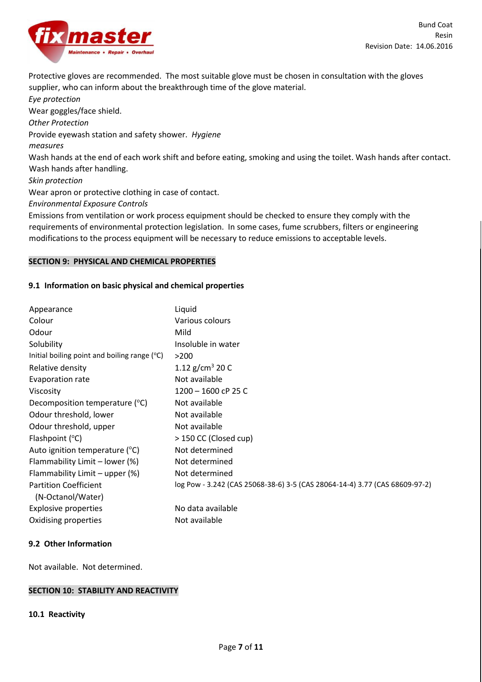

Protective gloves are recommended. The most suitable glove must be chosen in consultation with the gloves supplier, who can inform about the breakthrough time of the glove material.

*Eye protection*  Wear goggles/face shield. *Other Protection*  Provide eyewash station and safety shower. *Hygiene measures*  Wash hands at the end of each work shift and before eating, smoking and using the toilet. Wash hands after contact. Wash hands after handling. *Skin protection*  Wear apron or protective clothing in case of contact. *Environmental Exposure Controls*  Emissions from ventilation or work process equipment should be checked to ensure they comply with the requirements of environmental protection legislation. In some cases, fume scrubbers, filters or engineering

modifications to the process equipment will be necessary to reduce emissions to acceptable levels.

## **SECTION 9: PHYSICAL AND CHEMICAL PROPERTIES**

#### **9.1 Information on basic physical and chemical properties**

| Appearance                                     | Liquid                                                                      |
|------------------------------------------------|-----------------------------------------------------------------------------|
| Colour                                         | Various colours                                                             |
| Odour                                          | Mild                                                                        |
| Solubility                                     | Insoluble in water                                                          |
| Initial boiling point and boiling range $(°C)$ | >200                                                                        |
| Relative density                               | 1.12 g/cm <sup>3</sup> 20 C                                                 |
| Evaporation rate                               | Not available                                                               |
| Viscosity                                      | 1200 - 1600 cP 25 C                                                         |
| Decomposition temperature (°C)                 | Not available                                                               |
| Odour threshold, lower                         | Not available                                                               |
| Odour threshold, upper                         | Not available                                                               |
| Flashpoint $(^{\circ}C)$                       | > 150 CC (Closed cup)                                                       |
| Auto ignition temperature (°C)                 | Not determined                                                              |
| Flammability Limit – lower (%)                 | Not determined                                                              |
| Flammability Limit – upper (%)                 | Not determined                                                              |
| <b>Partition Coefficient</b>                   | log Pow - 3.242 (CAS 25068-38-6) 3-5 (CAS 28064-14-4) 3.77 (CAS 68609-97-2) |
| (N-Octanol/Water)                              |                                                                             |
| <b>Explosive properties</b>                    | No data available                                                           |
| Oxidising properties                           | Not available                                                               |

#### **9.2 Other Information**

Not available. Not determined.

#### **SECTION 10: STABILITY AND REACTIVITY**

#### **10.1 Reactivity**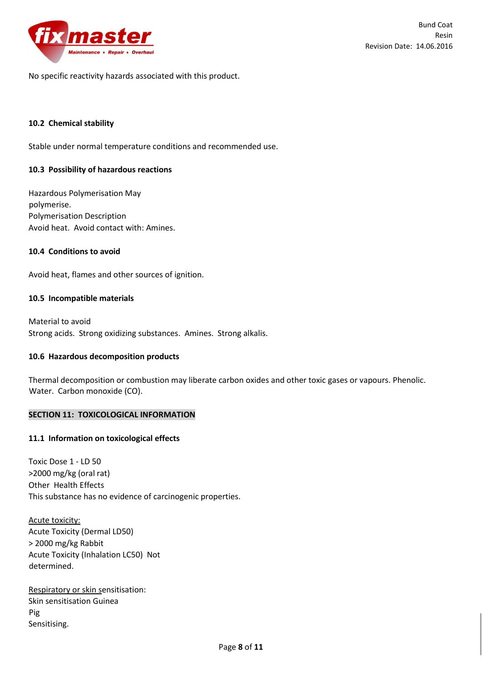

No specific reactivity hazards associated with this product.

## **10.2 Chemical stability**

Stable under normal temperature conditions and recommended use.

#### **10.3 Possibility of hazardous reactions**

Hazardous Polymerisation May polymerise. Polymerisation Description Avoid heat. Avoid contact with: Amines.

### **10.4 Conditions to avoid**

Avoid heat, flames and other sources of ignition.

### **10.5 Incompatible materials**

Material to avoid Strong acids. Strong oxidizing substances. Amines. Strong alkalis.

## **10.6 Hazardous decomposition products**

Thermal decomposition or combustion may liberate carbon oxides and other toxic gases or vapours. Phenolic. Water. Carbon monoxide (CO).

### **SECTION 11: TOXICOLOGICAL INFORMATION**

## **11.1 Information on toxicological effects**

Toxic Dose 1 - LD 50 >2000 mg/kg (oral rat) Other Health Effects This substance has no evidence of carcinogenic properties.

Acute toxicity: Acute Toxicity (Dermal LD50) > 2000 mg/kg Rabbit Acute Toxicity (Inhalation LC50) Not determined.

Respiratory or skin sensitisation: Skin sensitisation Guinea Pig Sensitising.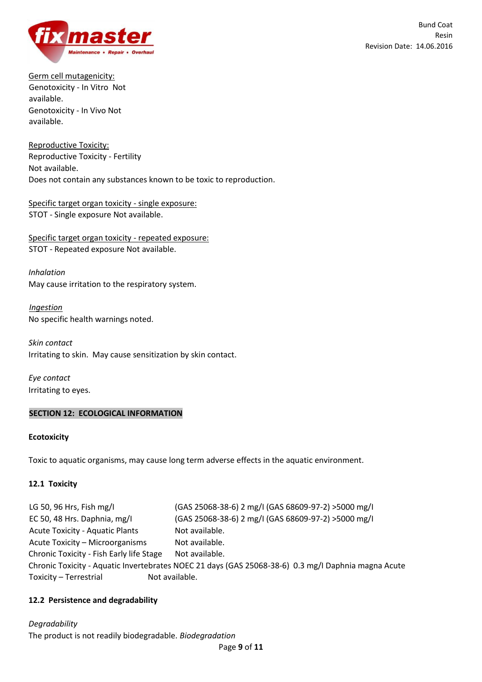

Germ cell mutagenicity: Genotoxicity - In Vitro Not available. Genotoxicity - In Vivo Not available.

Reproductive Toxicity: Reproductive Toxicity - Fertility Not available. Does not contain any substances known to be toxic to reproduction.

Specific target organ toxicity - single exposure: STOT - Single exposure Not available.

Specific target organ toxicity - repeated exposure: STOT - Repeated exposure Not available.

*Inhalation*  May cause irritation to the respiratory system.

*Ingestion*  No specific health warnings noted.

*Skin contact*  Irritating to skin. May cause sensitization by skin contact.

*Eye contact* Irritating to eyes.

# **SECTION 12: ECOLOGICAL INFORMATION**

## **Ecotoxicity**

Toxic to aquatic organisms, may cause long term adverse effects in the aquatic environment.

## **12.1 Toxicity**

LG 50, 96 Hrs, Fish mg/I (GAS 25068-38-6) 2 mg/I (GAS 68609-97-2) >5000 mg/I EC 50, 48 Hrs. Daphnia, mg/I (GAS 25068-38-6) 2 mg/I (GAS 68609-97-2) >5000 mg/I Acute Toxicity - Aquatic Plants Not available. Acute Toxicity – Microorganisms Not available. Chronic Toxicity - Fish Early life Stage Not available. Chronic Toxicity - Aquatic Invertebrates NOEC 21 days (GAS 25068-38-6) 0.3 mg/I Daphnia magna Acute Toxicity – Terrestrial Not available.

# **12.2 Persistence and degradability**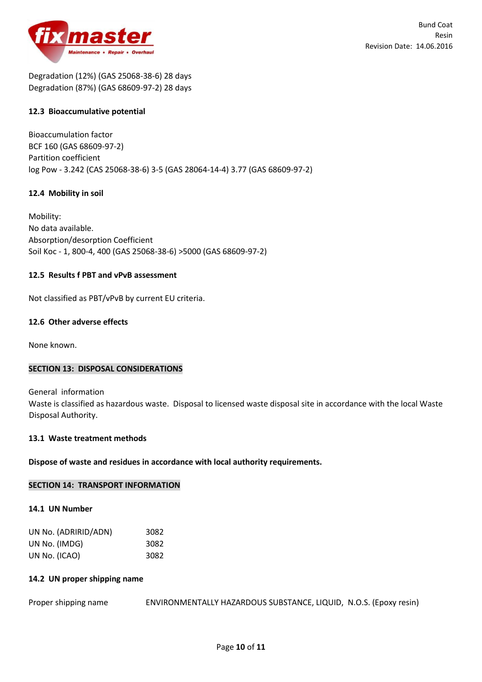

Degradation (12%) (GAS 25068-38-6) 28 days Degradation (87%) (GAS 68609-97-2) 28 days

## **12.3 Bioaccumulative potential**

Bioaccumulation factor BCF 160 (GAS 68609-97-2) Partition coefficient log Pow - 3.242 (CAS 25068-38-6) 3-5 (GAS 28064-14-4) 3.77 (GAS 68609-97-2)

## **12.4 Mobility in soil**

Mobility: No data available. Absorption/desorption Coefficient Soil Koc - 1, 800-4, 400 (GAS 25068-38-6) >5000 (GAS 68609-97-2)

## **12.5 Results f PBT and vPvB assessment**

Not classified as PBT/vPvB by current EU criteria.

### **12.6 Other adverse effects**

None known.

#### **SECTION 13: DISPOSAL CONSIDERATIONS**

General information Waste is classified as hazardous waste. Disposal to licensed waste disposal site in accordance with the local Waste Disposal Authority.

#### **13.1 Waste treatment methods**

## **Dispose of waste and residues in accordance with local authority requirements.**

#### **SECTION 14: TRANSPORT INFORMATION**

#### **14.1 UN Number**

| UN No. (ADRIRID/ADN) | 3082 |
|----------------------|------|
| UN No. (IMDG)        | 3082 |
| UN No. (ICAO)        | 3082 |

#### **14.2 UN proper shipping name**

Proper shipping name ENVIRONMENTALLY HAZARDOUS SUBSTANCE, LIQUID, N.O.S. (Epoxy resin)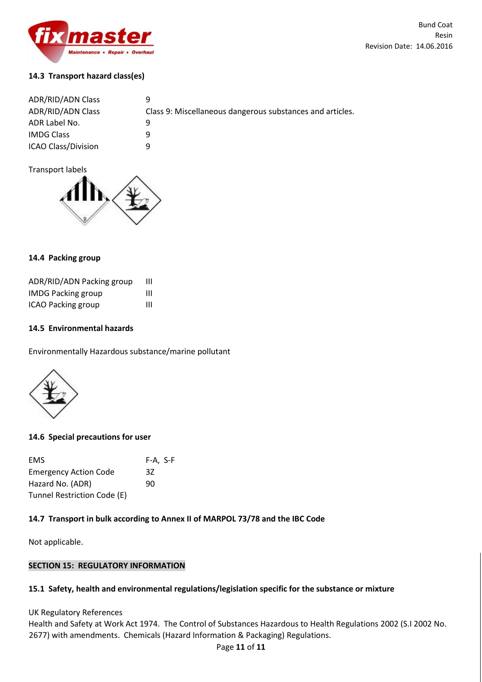

# **14.3 Transport hazard class(es)**

| <b>ADR/RID/ADN Class</b>   | Q                                                         |
|----------------------------|-----------------------------------------------------------|
| <b>ADR/RID/ADN Class</b>   | Class 9: Miscellaneous dangerous substances and articles. |
| ADR Label No.              |                                                           |
| <b>IMDG Class</b>          |                                                           |
| <b>ICAO Class/Division</b> | a                                                         |

Transport labels



## **14.4 Packing group**

| ADR/RID/ADN Packing group | ш |
|---------------------------|---|
| <b>IMDG Packing group</b> | Ш |
| ICAO Packing group        | Ш |

## **14.5 Environmental hazards**

Environmentally Hazardous substance/marine pollutant



## **14.6 Special precautions for user**

| <b>EMS</b>                   | F-A, S-F |
|------------------------------|----------|
| <b>Emergency Action Code</b> | 37       |
| Hazard No. (ADR)             | 90       |
| Tunnel Restriction Code (E)  |          |

# **14.7 Transport in bulk according to Annex II of MARPOL 73/78 and the IBC Code**

Not applicable.

## **SECTION 15: REGULATORY INFORMATION**

## **15.1 Safety, health and environmental regulations/legislation specific for the substance or mixture**

UK Regulatory References

Health and Safety at Work Act 1974. The Control of Substances Hazardous to Health Regulations 2002 (S.I 2002 No. 2677) with amendments. Chemicals (Hazard Information & Packaging) Regulations.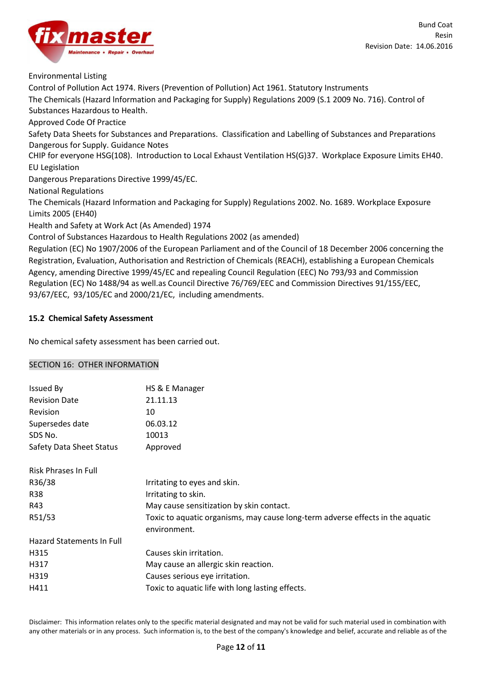Environmental Listing

Control of Pollution Act 1974. Rivers (Prevention of Pollution) Act 1961. Statutory Instruments The Chemicals (Hazard lnformation and Packaging for Supply) Regulations 2009 (S.1 2009 No. 716). Control of Substances Hazardous to Health. Approved Code Of Practice Safety Data Sheets for Substances and Preparations. Classification and Labelling of Substances and Preparations Dangerous for Supply. Guidance Notes CHIP for everyone HSG(108). Introduction to Local Exhaust Ventilation HS(G)37. Workplace Exposure Limits EH40. EU Legislation Dangerous Preparations Directive 1999/45/EC. National Regulations The Chemicals (Hazard Information and Packaging for Supply) Regulations 2002. No. 1689. Workplace Exposure Limits 2005 (EH40) Health and Safety at Work Act (As Amended) 1974 Control of Substances Hazardous to Health Regulations 2002 (as amended) Regulation (EC) No 1907/2006 of the European Parliament and of the Council of 18 December 2006 concerning the Registration, Evaluation, Authorisation and Restriction of Chemicals (REACH), establishing a European Chemicals Agency, amending Directive 1999/45/EC and repealing Council Regulation (EEC) No 793/93 and Commission Regulation (EC) No 1488/94 as well.as Council Directive 76/769/EEC and Commission Directives 91/155/EEC,

93/67/EEC, 93/105/EC and 2000/21/EC, including amendments.

# **15.2 Chemical Safety Assessment**

No chemical safety assessment has been carried out.

## SECTION 16: OTHER INFORMATION

| HS & E Manager                                                                                 |
|------------------------------------------------------------------------------------------------|
| 21.11.13                                                                                       |
| 10                                                                                             |
| 06.03.12                                                                                       |
| 10013                                                                                          |
| Approved                                                                                       |
|                                                                                                |
| Irritating to eyes and skin.                                                                   |
| Irritating to skin.                                                                            |
| May cause sensitization by skin contact.                                                       |
| Toxic to aquatic organisms, may cause long-term adverse effects in the aquatic<br>environment. |
|                                                                                                |
| Causes skin irritation.                                                                        |
| May cause an allergic skin reaction.                                                           |
| Causes serious eye irritation.                                                                 |
| Toxic to aquatic life with long lasting effects.                                               |
|                                                                                                |

Disclaimer: This information relates only to the specific material designated and may not be valid for such material used in combination with any other materials or in any process. Such information is, to the best of the company's knowledge and belief, accurate and reliable as of the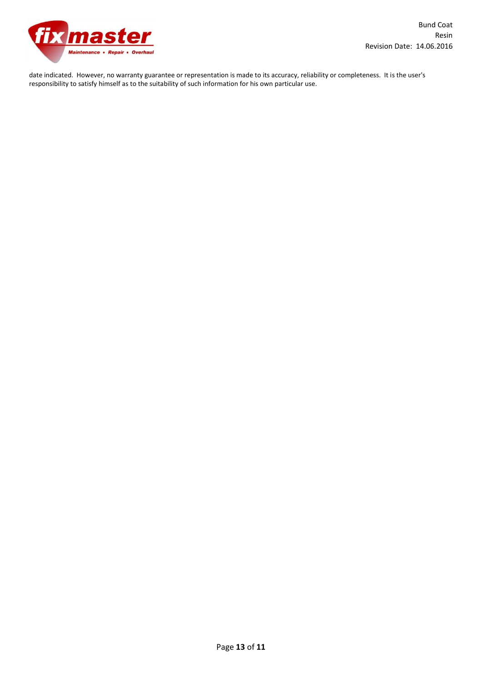

date indicated. However, no warranty guarantee or representation is made to its accuracy, reliability or completeness. It is the user's responsibility to satisfy himself as to the suitability of such information for his own particular use.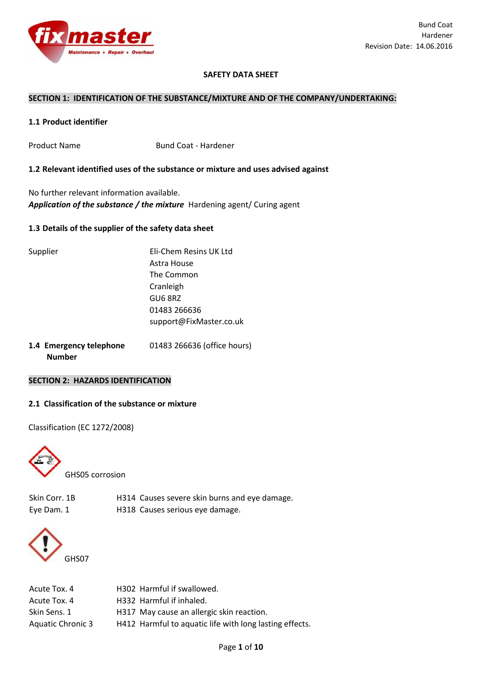

## **SAFETY DATA SHEET**

#### **SECTION 1: IDENTIFICATION OF THE SUBSTANCE/MIXTURE AND OF THE COMPANY/UNDERTAKING:**

### **1.1 Product identifier**

Product Name Bund Coat - Hardener

**1.2 Relevant identified uses of the substance or mixture and uses advised against** 

No further relevant information available. *Application of the substance / the mixture* Hardening agent/ Curing agent

## **1.3 Details of the supplier of the safety data sheet**

| Supplier | Eli-Chem Resins UK Ltd  |
|----------|-------------------------|
|          | Astra House             |
|          | The Common              |
|          | Cranleigh               |
|          | GU6 8RZ                 |
|          | 01483 266636            |
|          | support@FixMaster.co.uk |
|          |                         |

**1.4 Emergency telephone** 01483 266636 (office hours)  **Number** 

### **SECTION 2: HAZARDS IDENTIFICATION**

## **2.1 Classification of the substance or mixture**

Classification (EC 1272/2008)



GHS05 corrosion

Skin Corr. 1B H314 Causes severe skin burns and eye damage. Eye Dam. 1 **H318** Causes serious eye damage.



| Acute Tox. 4      | H302 Harmful if swallowed.                              |
|-------------------|---------------------------------------------------------|
| Acute Tox. 4      | H332 Harmful if inhaled.                                |
| Skin Sens. 1      | H317 May cause an allergic skin reaction.               |
| Aquatic Chronic 3 | H412 Harmful to aquatic life with long lasting effects. |
|                   |                                                         |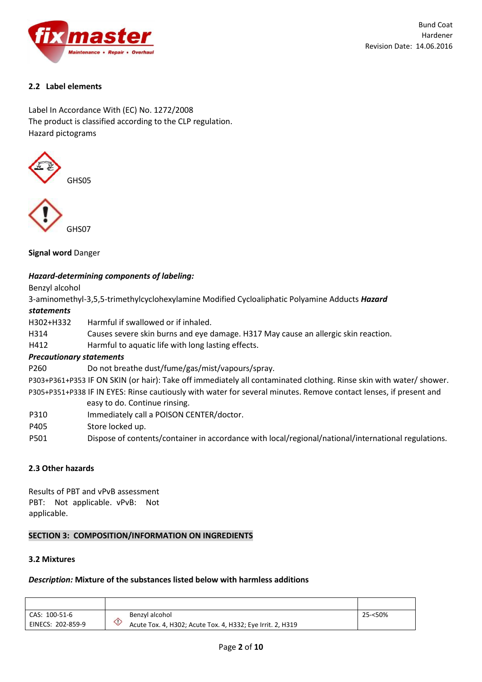

# **2.2 Label elements**

Label In Accordance With (EC) No. 1272/2008 The product is classified according to the CLP regulation. Hazard pictograms





**Signal word** Danger

## *Hazard-determining components of labeling:*

Benzyl alcohol

3-aminomethyl-3,5,5-trimethylcyclohexylamine Modified Cycloaliphatic Polyamine Adducts *Hazard statements* 

H302+H332 Harmful if swallowed or if inhaled.

H314 Causes severe skin burns and eye damage. H317 May cause an allergic skin reaction.

H412 Harmful to aquatic life with long lasting effects.

## *Precautionary statements*

P260 Do not breathe dust/fume/gas/mist/vapours/spray.

P303+P361+P353 IF ON SKIN (or hair): Take off immediately all contaminated clothing. Rinse skin with water/ shower. P305+P351+P338 IF IN EYES: Rinse cautiously with water for several minutes. Remove contact lenses, if present and

easy to do. Continue rinsing.

- P310 Immediately call a POISON CENTER/doctor.
- P405 Store locked up.
- P501 Dispose of contents/container in accordance with local/regional/national/international regulations.

## **2.3 Other hazards**

Results of PBT and vPvB assessment PBT: Not applicable. vPvB: Not applicable.

## **SECTION 3: COMPOSITION/INFORMATION ON INGREDIENTS**

## **3.2 Mixtures**

## *Description:* **Mixture of the substances listed below with harmless additions**

| CAS: 100-51-6     | Benzyl alcohol                                             | 25-<50% |
|-------------------|------------------------------------------------------------|---------|
| EINECS: 202-859-9 | Acute Tox. 4, H302; Acute Tox. 4, H332; Eye Irrit. 2, H319 |         |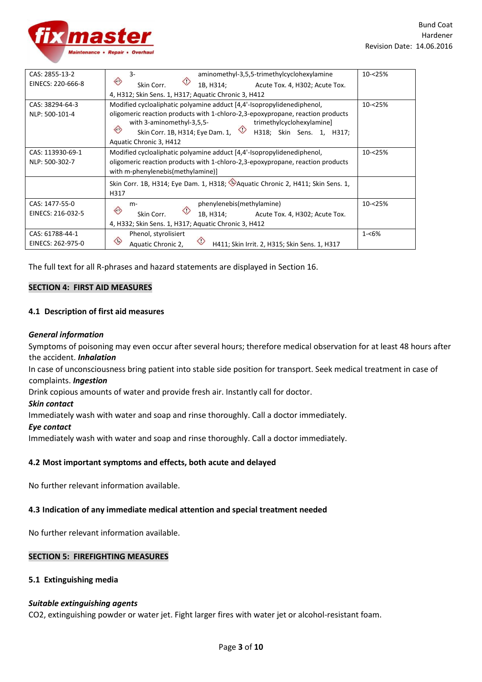

| CAS: 2855-13-2    | aminomethyl-3,5,5-trimethylcyclohexylamine<br>3-                                                                                         | 10-<25%    |
|-------------------|------------------------------------------------------------------------------------------------------------------------------------------|------------|
| EINECS: 220-666-8 | ⇔<br>1B, H314;<br>Acute Tox. 4, H302; Acute Tox.<br>Skin Corr.                                                                           |            |
|                   | 4, H312; Skin Sens. 1, H317; Aquatic Chronic 3, H412                                                                                     |            |
| CAS: 38294-64-3   | Modified cycloaliphatic polyamine adduct [4,4'-Isopropylidenediphenol,                                                                   | $10 - 25%$ |
| NLP: 500-101-4    | oligomeric reaction products with 1-chloro-2,3-epoxypropane, reaction products<br>with 3-aminomethyl-3,5,5-<br>trimethylcyclohexylamine] |            |
|                   | $\Leftrightarrow$<br>Skin Corr. 1B, H314; Eye Dam. 1,<br>H318; Skin Sens. 1, H317;                                                       |            |
|                   | Aquatic Chronic 3, H412                                                                                                                  |            |
| CAS: 113930-69-1  | Modified cycloaliphatic polyamine adduct [4,4'-Isopropylidenediphenol,                                                                   | 10-<25%    |
| NLP: 500-302-7    | oligomeric reaction products with 1-chloro-2,3-epoxypropane, reaction products<br>with m-phenylenebis(methylamine)]                      |            |
|                   | Skin Corr. 1B, H314; Eye Dam. 1, H318; Aquatic Chronic 2, H411; Skin Sens. 1,<br>H317                                                    |            |
| CAS: 1477-55-0    | phenylenebis(methylamine)<br>$m-$                                                                                                        | 10-<25%    |
| EINECS: 216-032-5 | $\langle \cdot \rangle$<br>Skin Corr.<br>1B, H314;<br>Acute Tox. 4, H302; Acute Tox.                                                     |            |
|                   | 4, H332; Skin Sens. 1, H317; Aquatic Chronic 3, H412                                                                                     |            |
| CAS: 61788-44-1   | Phenol, styrolisiert                                                                                                                     | $1 - 6%$   |
| EINECS: 262-975-0 | $\langle \rangle$<br>Aquatic Chronic 2,<br>H411; Skin Irrit. 2, H315; Skin Sens. 1, H317                                                 |            |

The full text for all R-phrases and hazard statements are displayed in Section 16.

### **SECTION 4: FIRST AID MEASURES**

### **4.1 Description of first aid measures**

### *General information*

Symptoms of poisoning may even occur after several hours; therefore medical observation for at least 48 hours after the accident. *Inhalation* 

In case of unconsciousness bring patient into stable side position for transport. Seek medical treatment in case of complaints. *Ingestion* 

Drink copious amounts of water and provide fresh air. Instantly call for doctor.

#### *Skin contact*

Immediately wash with water and soap and rinse thoroughly. Call a doctor immediately.

#### *Eye contact*

Immediately wash with water and soap and rinse thoroughly. Call a doctor immediately.

## **4.2 Most important symptoms and effects, both acute and delayed**

No further relevant information available.

#### **4.3 Indication of any immediate medical attention and special treatment needed**

No further relevant information available.

#### **SECTION 5: FIREFIGHTING MEASURES**

#### **5.1 Extinguishing media**

#### *Suitable extinguishing agents*

CO2, extinguishing powder or water jet. Fight larger fires with water jet or alcohol-resistant foam.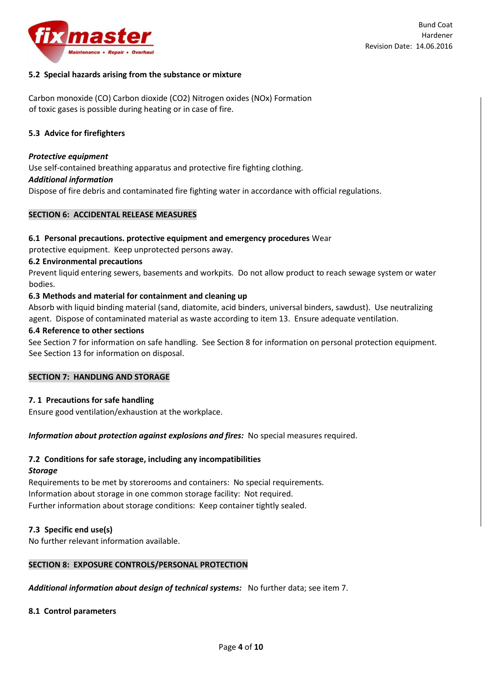

## **5.2 Special hazards arising from the substance or mixture**

Carbon monoxide (CO) Carbon dioxide (CO2) Nitrogen oxides (NOx) Formation of toxic gases is possible during heating or in case of fire.

### **5.3 Advice for firefighters**

#### *Protective equipment*

Use self-contained breathing apparatus and protective fire fighting clothing.

#### *Additional information*

Dispose of fire debris and contaminated fire fighting water in accordance with official regulations.

### **SECTION 6: ACCIDENTAL RELEASE MEASURES**

### **6.1 Personal precautions. protective equipment and emergency procedures** Wear

protective equipment. Keep unprotected persons away.

## **6.2 Environmental precautions**

Prevent liquid entering sewers, basements and workpits. Do not allow product to reach sewage system or water bodies.

## **6.3 Methods and material for containment and cleaning up**

Absorb with liquid binding material (sand, diatomite, acid binders, universal binders, sawdust). Use neutralizing agent. Dispose of contaminated material as waste according to item 13. Ensure adequate ventilation.

#### **6.4 Reference to other sections**

See Section 7 for information on safe handling. See Section 8 for information on personal protection equipment. See Section 13 for information on disposal.

#### **SECTION 7: HANDLING AND STORAGE**

#### **7. 1 Precautions for safe handling**

Ensure good ventilation/exhaustion at the workplace.

## *Information about protection against explosions and fires:* No special measures required.

## **7.2 Conditions for safe storage, including any incompatibilities**

#### *Storage*

Requirements to be met by storerooms and containers: No special requirements. Information about storage in one common storage facility: Not required. Further information about storage conditions: Keep container tightly sealed.

## **7.3 Specific end use(s)**

No further relevant information available.

## **SECTION 8: EXPOSURE CONTROLS/PERSONAL PROTECTION**

*Additional information about design of technical systems:* No further data; see item 7.

#### **8.1 Control parameters**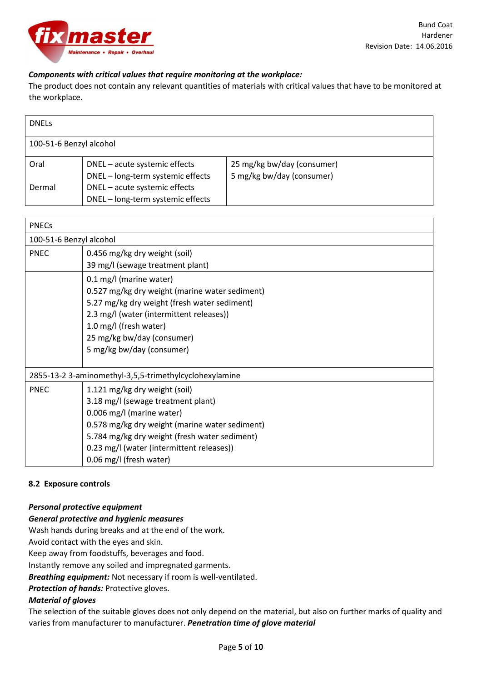

# *Components with critical values that require monitoring at the workplace:*

The product does not contain any relevant quantities of materials with critical values that have to be monitored at the workplace.

| <b>DNELS</b>            |                                                                    |                                                         |
|-------------------------|--------------------------------------------------------------------|---------------------------------------------------------|
| 100-51-6 Benzyl alcohol |                                                                    |                                                         |
| Oral                    | DNEL - acute systemic effects<br>DNEL - long-term systemic effects | 25 mg/kg bw/day (consumer)<br>5 mg/kg bw/day (consumer) |
| Dermal                  | DNEL - acute systemic effects<br>DNEL - long-term systemic effects |                                                         |

| <b>PNECs</b>                                           |                                                |  |
|--------------------------------------------------------|------------------------------------------------|--|
| 100-51-6 Benzyl alcohol                                |                                                |  |
| <b>PNEC</b>                                            | 0.456 mg/kg dry weight (soil)                  |  |
|                                                        | 39 mg/l (sewage treatment plant)               |  |
|                                                        | 0.1 mg/l (marine water)                        |  |
|                                                        | 0.527 mg/kg dry weight (marine water sediment) |  |
|                                                        | 5.27 mg/kg dry weight (fresh water sediment)   |  |
| 2.3 mg/l (water (intermittent releases))               |                                                |  |
|                                                        | 1.0 mg/l (fresh water)                         |  |
|                                                        | 25 mg/kg bw/day (consumer)                     |  |
|                                                        | 5 mg/kg bw/day (consumer)                      |  |
|                                                        |                                                |  |
| 2855-13-2 3-aminomethyl-3,5,5-trimethylcyclohexylamine |                                                |  |
| <b>PNEC</b>                                            | 1.121 mg/kg dry weight (soil)                  |  |
|                                                        | 3.18 mg/l (sewage treatment plant)             |  |
|                                                        | 0.006 mg/l (marine water)                      |  |
|                                                        | 0.578 mg/kg dry weight (marine water sediment) |  |
|                                                        | 5.784 mg/kg dry weight (fresh water sediment)  |  |
|                                                        | 0.23 mg/l (water (intermittent releases))      |  |
|                                                        | 0.06 mg/l (fresh water)                        |  |

## **8.2 Exposure controls**

## *Personal protective equipment*

## *General protective and hygienic measures*

Wash hands during breaks and at the end of the work.

Avoid contact with the eyes and skin.

Keep away from foodstuffs, beverages and food.

Instantly remove any soiled and impregnated garments.

*Breathing equipment:* Not necessary if room is well-ventilated.

*Protection of hands:* Protective gloves.

## *Material of gloves*

The selection of the suitable gloves does not only depend on the material, but also on further marks of quality and varies from manufacturer to manufacturer. *Penetration time of glove material*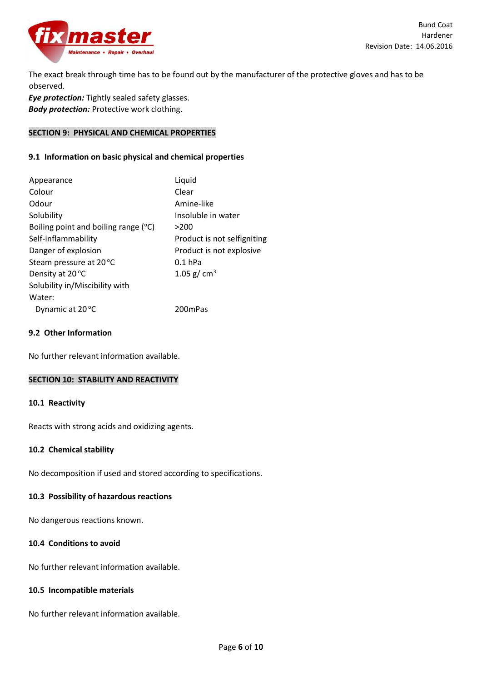

The exact break through time has to be found out by the manufacturer of the protective gloves and has to be observed.

*Eye protection:* Tightly sealed safety glasses. *Body protection:* Protective work clothing.

## **SECTION 9: PHYSICAL AND CHEMICAL PROPERTIES**

## **9.1 Information on basic physical and chemical properties**

| Appearance                           | Liquid                      |
|--------------------------------------|-----------------------------|
| Colour                               | Clear                       |
| Odour                                | Amine-like                  |
| Solubility                           | Insoluble in water          |
| Boiling point and boiling range (°C) | >200                        |
| Self-inflammability                  | Product is not selfigniting |
| Danger of explosion                  | Product is not explosive    |
| Steam pressure at 20 °C              | $0.1$ hPa                   |
| Density at 20 °C                     | 1.05 g/ $cm3$               |
| Solubility in/Miscibility with       |                             |
| Water:                               |                             |
| Dynamic at 20 °C                     | 200 <sub>mPas</sub>         |
|                                      |                             |

# **9.2 Other Information**

No further relevant information available.

#### **SECTION 10: STABILITY AND REACTIVITY**

#### **10.1 Reactivity**

Reacts with strong acids and oxidizing agents.

#### **10.2 Chemical stability**

No decomposition if used and stored according to specifications.

## **10.3 Possibility of hazardous reactions**

No dangerous reactions known.

#### **10.4 Conditions to avoid**

No further relevant information available.

#### **10.5 Incompatible materials**

No further relevant information available.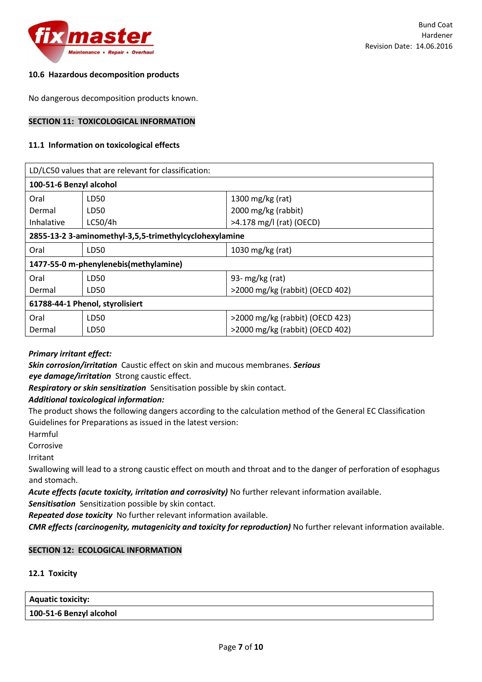

## **10.6 Hazardous decomposition products**

No dangerous decomposition products known.

#### **SECTION 11: TOXICOLOGICAL INFORMATION**

#### **11.1 Information on toxicological effects**

| LD/LC50 values that are relevant for classification:   |         |                                 |
|--------------------------------------------------------|---------|---------------------------------|
| 100-51-6 Benzyl alcohol                                |         |                                 |
| Oral                                                   | LD50    | 1300 mg/kg (rat)                |
| Dermal                                                 | LD50    | 2000 mg/kg (rabbit)             |
| Inhalative                                             | LC50/4h | >4.178 mg/l (rat) (OECD)        |
| 2855-13-2 3-aminomethyl-3,5,5-trimethylcyclohexylamine |         |                                 |
| Oral                                                   | LD50    | 1030 mg/kg (rat)                |
| 1477-55-0 m-phenylenebis(methylamine)                  |         |                                 |
| Oral                                                   | LD50    | 93- $mg/kg$ (rat)               |
| Dermal                                                 | LD50    | >2000 mg/kg (rabbit) (OECD 402) |
| 61788-44-1 Phenol, styrolisiert                        |         |                                 |
| Oral                                                   | LD50    | >2000 mg/kg (rabbit) (OECD 423) |
| Dermal                                                 | LD50    | >2000 mg/kg (rabbit) (OECD 402) |

## *Primary irritant effect:*

*Skin corrosion/irritation* Caustic effect on skin and mucous membranes. *Serious eye damage/irritation* Strong caustic effect.

*Respiratory or skin sensitization* Sensitisation possible by skin contact.

## *Additional toxicological information:*

The product shows the following dangers according to the calculation method of the General EC Classification Guidelines for Preparations as issued in the latest version:

Harmful

Corrosive

Irritant

Swallowing will lead to a strong caustic effect on mouth and throat and to the danger of perforation of esophagus and stomach.

*Acute effects (acute toxicity, irritation and corrosivity)* No further relevant information available.

*Sensitisation* Sensitization possible by skin contact.

*Repeated dose toxicity* No further relevant information available.

*CMR effects (carcinogenity, mutagenicity and toxicity for reproduction)* No further relevant information available.

## **SECTION 12: ECOLOGICAL INFORMATION**

## **12.1 Toxicity**

**Aquatic toxicity: 100-51-6 Benzyl alcohol**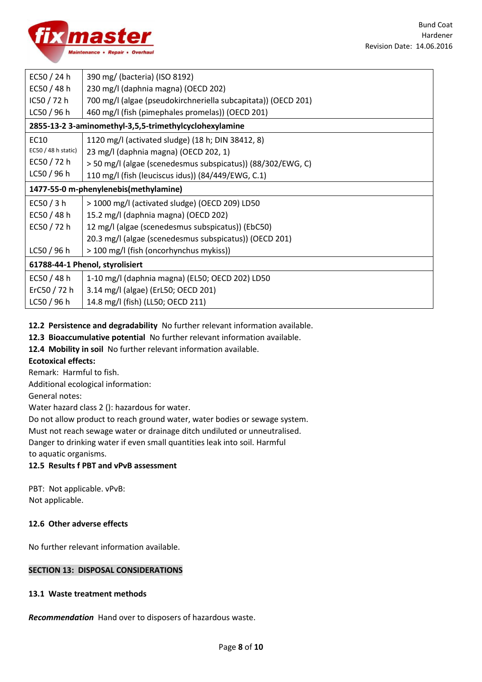

| EC50 $/$ 24 h                   | 390 mg/ (bacteria) (ISO 8192)                                 |
|---------------------------------|---------------------------------------------------------------|
| EC50 $/$ 48 h                   | 230 mg/l (daphnia magna) (OECD 202)                           |
| IC50 / 72 h                     | 700 mg/l (algae (pseudokirchneriella subcapitata)) (OECD 201) |
| LC50/96h                        | 460 mg/l (fish (pimephales promelas)) (OECD 201)              |
|                                 | 2855-13-2 3-aminomethyl-3,5,5-trimethylcyclohexylamine        |
| EC10                            | 1120 mg/l (activated sludge) (18 h; DIN 38412, 8)             |
| $EC50/48$ h static)             | 23 mg/l (daphnia magna) (OECD 202, 1)                         |
| EC50 $/$ 72 h                   | > 50 mg/l (algae (scenedesmus subspicatus)) (88/302/EWG, C)   |
| LC50 / 96 h                     | 110 mg/l (fish (leuciscus idus)) (84/449/EWG, C.1)            |
|                                 | 1477-55-0 m-phenylenebis(methylamine)                         |
| EC50 $/$ 3 h                    | > 1000 mg/l (activated sludge) (OECD 209) LD50                |
| EC50 $/$ 48 h                   | 15.2 mg/l (daphnia magna) (OECD 202)                          |
| EC50 $/$ 72 h                   | 12 mg/l (algae (scenedesmus subspicatus)) (EbC50)             |
|                                 | 20.3 mg/l (algae (scenedesmus subspicatus)) (OECD 201)        |
| LC50 / 96 h                     | > 100 mg/l (fish (oncorhynchus mykiss))                       |
| 61788-44-1 Phenol, styrolisiert |                                                               |
| EC50 $/$ 48 h                   | 1-10 mg/l (daphnia magna) (EL50; OECD 202) LD50               |
| ErC50 $/ 72 h$                  | 3.14 mg/l (algae) (ErL50; OECD 201)                           |
| LC50/96h                        | 14.8 mg/l (fish) (LL50; OECD 211)                             |

# **12.2 Persistence and degradability** No further relevant information available.

**12.3 Bioaccumulative potential** No further relevant information available.

**12.4 Mobility in soil** No further relevant information available.

## **Ecotoxical effects:**

Remark: Harmful to fish.

Additional ecological information:

General notes:

Water hazard class 2 (): hazardous for water.

Do not allow product to reach ground water, water bodies or sewage system.

Must not reach sewage water or drainage ditch undiluted or unneutralised.

Danger to drinking water if even small quantities leak into soil. Harmful

to aquatic organisms.

# **12.5 Results f PBT and vPvB assessment**

PBT: Not applicable. vPvB: Not applicable.

## **12.6 Other adverse effects**

No further relevant information available.

# **SECTION 13: DISPOSAL CONSIDERATIONS**

## **13.1 Waste treatment methods**

*Recommendation* Hand over to disposers of hazardous waste.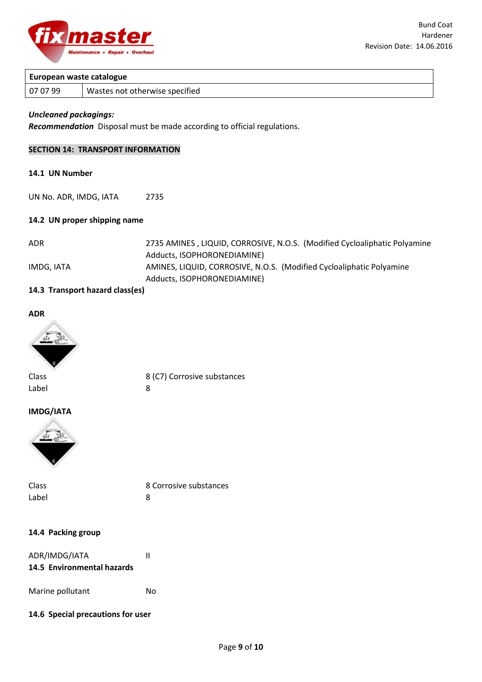

# **European waste catalogue**

07 07 99 | Wastes not otherwise specified

## *Uncleaned packagings:*

*Recommendation* Disposal must be made according to official regulations.

## **SECTION 14: TRANSPORT INFORMATION**

## **14.1 UN Number**

UN No. ADR, IMDG, IATA 2735

#### **14.2 UN proper shipping name**

| ADR        | 2735 AMINES, LIQUID, CORROSIVE, N.O.S. (Modified Cycloaliphatic Polyamine |
|------------|---------------------------------------------------------------------------|
|            | Adducts, ISOPHORONEDIAMINE)                                               |
| IMDG. IATA | AMINES, LIQUID, CORROSIVE, N.O.S. (Modified Cycloaliphatic Polyamine      |
|            | Adducts, ISOPHORONEDIAMINE)                                               |

## **14.3 Transport hazard class(es)**





Label 8

Class 8 (C7) Corrosive substances

#### **IMDG/IATA**



| Class | 8 Corrosive substances |
|-------|------------------------|
| Label |                        |

#### **14.4 Packing group**

| ADR/IMDG/IATA |                            |  |
|---------------|----------------------------|--|
|               | 14.5 Environmental hazards |  |

Marine pollutant Mo

## **14.6 Special precautions for user**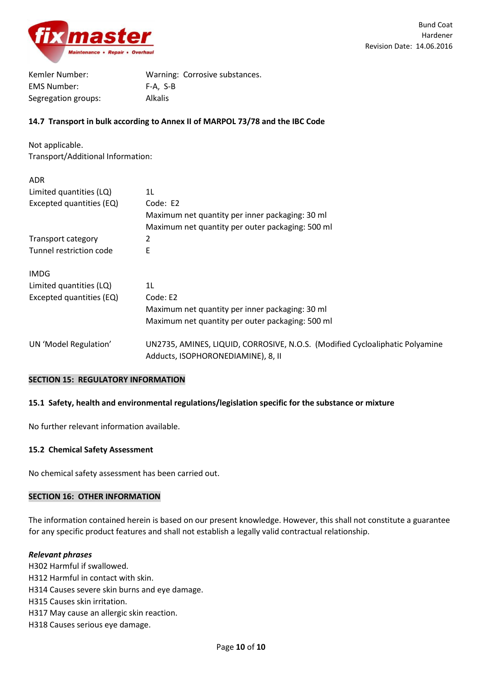

| Kemler Number:      | Warning: Corrosive substances. |
|---------------------|--------------------------------|
| <b>EMS Number:</b>  | F-A. S-B                       |
| Segregation groups: | <b>Alkalis</b>                 |

## **14.7 Transport in bulk according to Annex II of MARPOL 73/78 and the IBC Code**

Not applicable. Transport/Additional Information:

| <b>ADR</b>               |                                                                                                                    |
|--------------------------|--------------------------------------------------------------------------------------------------------------------|
| Limited quantities (LQ)  | 1L                                                                                                                 |
| Excepted quantities (EQ) | Code: E2                                                                                                           |
|                          | Maximum net quantity per inner packaging: 30 ml                                                                    |
|                          | Maximum net quantity per outer packaging: 500 ml                                                                   |
| Transport category       | 2                                                                                                                  |
| Tunnel restriction code  | E                                                                                                                  |
| <b>IMDG</b>              |                                                                                                                    |
| Limited quantities (LQ)  | 1L                                                                                                                 |
| Excepted quantities (EQ) | Code: E2                                                                                                           |
|                          | Maximum net quantity per inner packaging: 30 ml                                                                    |
|                          | Maximum net quantity per outer packaging: 500 ml                                                                   |
| UN 'Model Regulation'    | UN2735, AMINES, LIQUID, CORROSIVE, N.O.S. (Modified Cycloaliphatic Polyamine<br>Adducts, ISOPHORONEDIAMINE), 8, II |

#### **SECTION 15: REGULATORY INFORMATION**

## **15.1 Safety, health and environmental regulations/legislation specific for the substance or mixture**

No further relevant information available.

#### **15.2 Chemical Safety Assessment**

No chemical safety assessment has been carried out.

#### **SECTION 16: OTHER INFORMATION**

The information contained herein is based on our present knowledge. However, this shall not constitute a guarantee for any specific product features and shall not establish a legally valid contractual relationship.

## *Relevant phrases*

H302 Harmful if swallowed. H312 Harmful in contact with skin. H314 Causes severe skin burns and eye damage. H315 Causes skin irritation. H317 May cause an allergic skin reaction. H318 Causes serious eye damage.